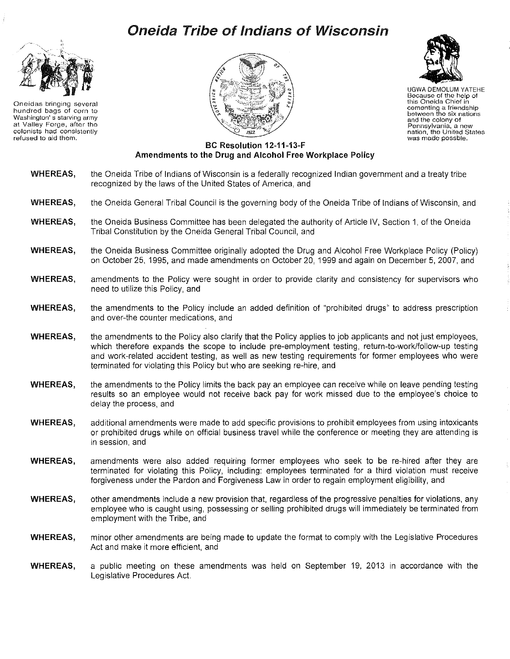## **Oneida Tribe of Indians of Wisconsin**



**Oneidas bringing several hundred bags of corn to Washington' s starving army at Valley Forge, after the colonists had consistently refused to aid them.** 





UGWA DEMOLUM YATEHE **Because of the help of this Oneida Chief in cementing a friendship between the six nations and the colony of Pennsylvania, a new nation, the United States was made possble.** 

## **BC Resolution 12-11-13-F Amendments to the Drug and Alcohol Free Workplace Policy**

- **WHEREAS,**  the Oneida Tribe of Indians of Wisconsin is a federally recognized Indian government and a treaty tribe recognized by the laws of the United States of America, and
- **WHEREAS,**  the Oneida General Tribal Council is the governing body of the Oneida Tribe of Indians of Wisconsin, and
- **WHEREAS,**  the Oneida Business Committee has been delegated the authority of Article IV, Section 1, of the Oneida Tribal Constitution by the Oneida General Tribal Council, and
- **WHEREAS,**  the Oneida Business Committee originally adopted the Drug and Alcohol Free Workplace Policy (Policy) on October 25, 1995, and made amendments on October 20, 1999 and again on December 5, 2007, and
- **WHEREAS,**  amendments to the Policy were sought in order to provide clarity and consistency for supervisors who need to utilize this Policy, and
- **WHEREAS,**  the amendments to the Policy include an added definition of "prohibited drugs" to address prescription and over-the counter medications, and
- **WHEREAS,**  the amendments to the Policy also clarify that the Policy applies to job applicants and not just employees, which therefore expands the scope to include pre-employment testing, return-to-work/follow-up testing and work-related accident testing, as well as new testing requirements for former employees who were terminated for violating this Policy but who are seeking re-hire, and
- **WHEREAS,**  the amendments to the Policy limits the back pay an employee can receive while on leave pending testing results so an employee would not receive back pay for work missed due to the employee's choice to delay the process, and
- **WHEREAS,**  additional amendments were made to add specific provisions to prohibit employees from using intoxicants or prohibited drugs while on official business travel while the conference or meeting they are attending is in session, and
- **WHEREAS,**  amendments were also added requiring former employees who seek to be re-hired after they are terminated for violating this Policy, including: employees terminated for a third violation must receive forgiveness under the Pardon and Forgiveness Law in order to regain employment eligibility, and
- **WHEREAS,**  other amendments include a new provision that, regardless of the progressive penalties for violations, any employee who is caught using, possessing or selling prohibited drugs will immediately be terminated from employment with the Tribe, and
- **WHEREAS,**  minor other amendments are being made to update the format to comply with the Legislative Procedures Act and make it more efficient, and
- **WHEREAS,**  a public meeting on these amendments was held on September 19, 2013 in accordance with the Legislative Procedures Act.